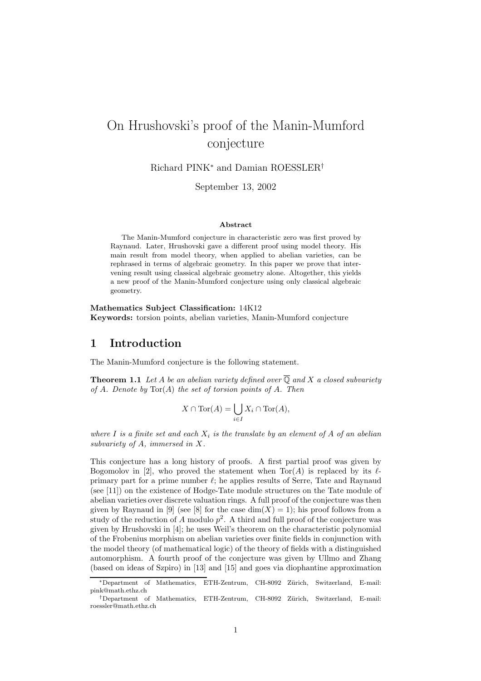# On Hrushovski's proof of the Manin-Mumford conjecture

Richard PINK<sup>∗</sup> and Damian ROESSLER†

September 13, 2002

#### Abstract

The Manin-Mumford conjecture in characteristic zero was first proved by Raynaud. Later, Hrushovski gave a different proof using model theory. His main result from model theory, when applied to abelian varieties, can be rephrased in terms of algebraic geometry. In this paper we prove that intervening result using classical algebraic geometry alone. Altogether, this yields a new proof of the Manin-Mumford conjecture using only classical algebraic geometry.

Mathematics Subject Classification: 14K12 Keywords: torsion points, abelian varieties, Manin-Mumford conjecture

#### 1 Introduction

The Manin-Mumford conjecture is the following statement.

**Theorem 1.1** Let A be an abelian variety defined over  $\overline{Q}$  and X a closed subvariety of A. Denote by  $Tor(A)$  the set of torsion points of A. Then

$$
X \cap \text{Tor}(A) = \bigcup_{i \in I} X_i \cap \text{Tor}(A),
$$

where I is a finite set and each  $X_i$  is the translate by an element of A of an abelian subvariety of A, immersed in X.

This conjecture has a long history of proofs. A first partial proof was given by Bogomolov in [2], who proved the statement when  $Tor(A)$  is replaced by its  $\ell$ primary part for a prime number  $\ell$ ; he applies results of Serre, Tate and Raynaud (see [11]) on the existence of Hodge-Tate module structures on the Tate module of abelian varieties over discrete valuation rings. A full proof of the conjecture was then given by Raynaud in [9] (see [8] for the case  $dim(X) = 1$ ); his proof follows from a study of the reduction of A modulo  $p^2$ . A third and full proof of the conjecture was given by Hrushovski in [4]; he uses Weil's theorem on the characteristic polynomial of the Frobenius morphism on abelian varieties over finite fields in conjunction with the model theory (of mathematical logic) of the theory of fields with a distinguished automorphism. A fourth proof of the conjecture was given by Ullmo and Zhang (based on ideas of Szpiro) in [13] and [15] and goes via diophantine approximation

<sup>∗</sup>Department of Mathematics, ETH-Zentrum, CH-8092 Z¨urich, Switzerland, E-mail: pink@math.ethz.ch

<sup>†</sup>Department of Mathematics, ETH-Zentrum, CH-8092 Z¨urich, Switzerland, E-mail: roessler@math.ethz.ch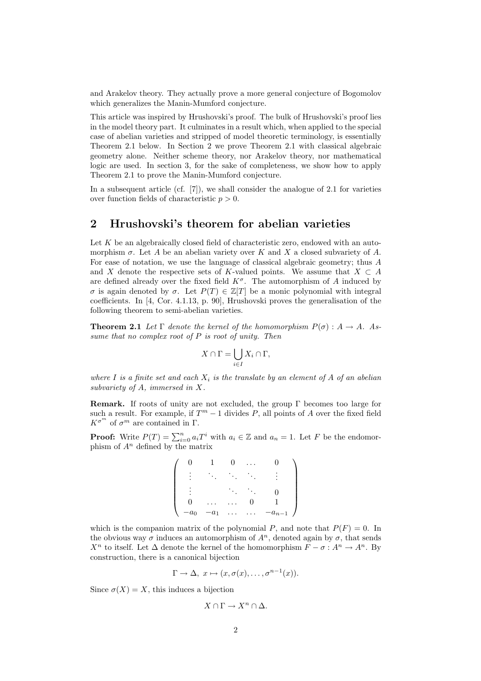and Arakelov theory. They actually prove a more general conjecture of Bogomolov which generalizes the Manin-Mumford conjecture.

This article was inspired by Hrushovski's proof. The bulk of Hrushovski's proof lies in the model theory part. It culminates in a result which, when applied to the special case of abelian varieties and stripped of model theoretic terminology, is essentially Theorem 2.1 below. In Section 2 we prove Theorem 2.1 with classical algebraic geometry alone. Neither scheme theory, nor Arakelov theory, nor mathematical logic are used. In section 3, for the sake of completeness, we show how to apply Theorem 2.1 to prove the Manin-Mumford conjecture.

In a subsequent article (cf. [7]), we shall consider the analogue of 2.1 for varieties over function fields of characteristic  $p > 0$ .

# 2 Hrushovski's theorem for abelian varieties

Let  $K$  be an algebraically closed field of characteristic zero, endowed with an automorphism  $\sigma$ . Let A be an abelian variety over K and X a closed subvariety of A. For ease of notation, we use the language of classical algebraic geometry; thus A and X denote the respective sets of K-valued points. We assume that  $X \subset A$ are defined already over the fixed field  $K^{\sigma}$ . The automorphism of A induced by σ is again denoted by σ. Let  $P(T) \in \mathbb{Z}[T]$  be a monic polynomial with integral coefficients. In [4, Cor. 4.1.13, p. 90], Hrushovski proves the generalisation of the following theorem to semi-abelian varieties.

**Theorem 2.1** Let  $\Gamma$  denote the kernel of the homomorphism  $P(\sigma)$ :  $A \rightarrow A$ . Assume that no complex root of  $P$  is root of unity. Then

$$
X\cap \Gamma = \bigcup_{i\in I} X_i \cap \Gamma,
$$

where I is a finite set and each  $X_i$  is the translate by an element of A of an abelian subvariety of A, immersed in X.

Remark. If roots of unity are not excluded, the group Γ becomes too large for such a result. For example, if  $T^m - 1$  divides P, all points of A over the fixed field  $K^{\sigma^m}$  of  $\sigma^m$  are contained in  $\Gamma$ .

**Proof:** Write  $P(T) = \sum_{i=0}^{n} a_i T^i$  with  $a_i \in \mathbb{Z}$  and  $a_n = 1$ . Let F be the endomorphism of  $A<sup>n</sup>$  defined by the matrix

| $a_0$ | $a_1$<br>$\overline{\phantom{0}}$ | $\cdots$ | $\bullet$ | $-a_{n-1}$ |
|-------|-----------------------------------|----------|-----------|------------|

which is the companion matrix of the polynomial P, and note that  $P(F) = 0$ . In the obvious way  $\sigma$  induces an automorphism of  $A^n$ , denoted again by  $\sigma$ , that sends  $X^n$  to itself. Let  $\Delta$  denote the kernel of the homomorphism  $F - \sigma : A^n \to A^n$ . By construction, there is a canonical bijection

$$
\Gamma \to \Delta, \ x \mapsto (x, \sigma(x), \dots, \sigma^{n-1}(x)).
$$

Since  $\sigma(X) = X$ , this induces a bijection

$$
X\cap \Gamma\to X^n\cap \Delta.
$$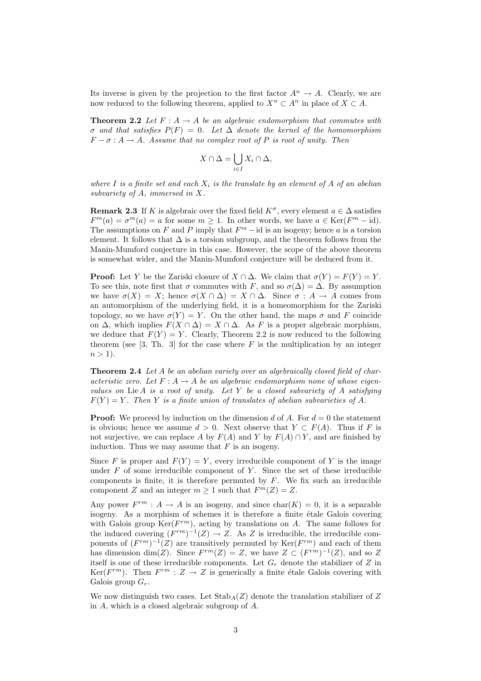Its inverse is given by the projection to the first factor  $A^n \to A$ . Clearly, we are now reduced to the following theorem, applied to  $X^n \subset A^n$  in place of  $X \subset A$ .

**Theorem 2.2** Let  $F: A \rightarrow A$  be an algebraic endomorphism that commutes with σ and that satisfies P(F) = 0. Let ∆ denote the kernel of the homomorphism  $F - \sigma : A \rightarrow A$ . Assume that no complex root of P is root of unity. Then

$$
X\cap \Delta = \bigcup_{i\in I} X_i\cap \Delta,
$$

where I is a finite set and each  $X_i$  is the translate by an element of A of an abelian subvariety of A, immersed in X.

**Remark 2.3** If K is algebraic over the fixed field  $K^{\sigma}$ , every element  $a \in \Delta$  satisfies  $F^m(a) = \sigma^m(a) = a$  for some  $m \ge 1$ . In other words, we have  $a \in \text{Ker}(F^m - \text{id})$ . The assumptions on F and P imply that  $F^m$  – id is an isogeny; hence a is a torsion element. It follows that  $\Delta$  is a torsion subgroup, and the theorem follows from the Manin-Mumford conjecture in this case. However, the scope of the above theorem is somewhat wider, and the Manin-Mumford conjecture will be deduced from it.

**Proof:** Let Y be the Zariski closure of  $X \cap \Delta$ . We claim that  $\sigma(Y) = F(Y) = Y$ . To see this, note first that  $\sigma$  commutes with F, and so  $\sigma(\Delta) = \Delta$ . By assumption we have  $\sigma(X) = X$ ; hence  $\sigma(X \cap \Delta) = X \cap \Delta$ . Since  $\sigma : A \to A$  comes from an automorphism of the underlying field, it is a homeomorphism for the Zariski topology, so we have  $\sigma(Y) = Y$ . On the other hand, the maps  $\sigma$  and F coincide on  $\Delta$ , which implies  $F(X \cap \Delta) = X \cap \Delta$ . As F is a proper algebraic morphism, we deduce that  $F(Y) = Y$ . Clearly, Theorem 2.2 is now reduced to the following theorem (see [3, Th. 3] for the case where  $F$  is the multiplication by an integer  $n > 1$ ).

**Theorem 2.4** Let A be an abelian variety over an algebraically closed field of characteristic zero. Let  $F: A \to A$  be an algebraic endomorphism none of whose eigenvalues on  $Lie A$  is a root of unity. Let Y be a closed subvariety of A satisfying  $F(Y) = Y$ . Then Y is a finite union of translates of abelian subvarieties of A.

**Proof:** We proceed by induction on the dimension d of A. For  $d = 0$  the statement is obvious; hence we assume  $d > 0$ . Next observe that  $Y \subset F(A)$ . Thus if F is not surjective, we can replace A by  $F(A)$  and Y by  $F(A) \cap Y$ , and are finished by induction. Thus we may assume that  $F$  is an isogeny.

Since F is proper and  $F(Y) = Y$ , every irreducible component of Y is the image under  $F$  of some irreducible component of  $Y$ . Since the set of these irreducible components is finite, it is therefore permuted by  $F$ . We fix such an irreducible component Z and an integer  $m \ge 1$  such that  $F^m(Z) = Z$ .

Any power  $F^{rm}: A \to A$  is an isogeny, and since  $char(K) = 0$ , it is a separable isogeny. As a morphism of schemes it is therefore a finite étale Galois covering with Galois group  $\text{Ker}(F^{rm})$ , acting by translations on A. The same follows for the induced covering  $(F^{rm})^{-1}(Z) \to Z$ . As Z is irreducible, the irreducible components of  $(F^{rm})^{-1}(Z)$  are transitively permuted by  $\text{Ker}(F^{rm})$  and each of them has dimension dim(Z). Since  $F^{rm}(Z) = Z$ , we have  $Z \subset (F^{rm})^{-1}(Z)$ , and so Z itself is one of these irreducible components. Let  $G_r$  denote the stabilizer of Z in Ker( $F^{rm}$ ). Then  $F^{rm}$ :  $Z \rightarrow Z$  is generically a finite étale Galois covering with Galois group  $G_r$ .

We now distinguish two cases. Let  $\text{Stab}_A(Z)$  denote the translation stabilizer of Z in A, which is a closed algebraic subgroup of A.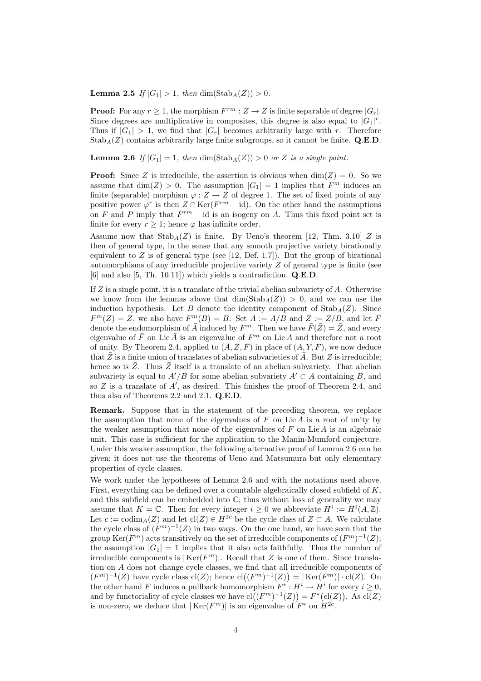**Lemma 2.5** If  $|G_1| > 1$ , then dim(Stab<sub>A</sub>(Z)) > 0.

**Proof:** For any  $r \geq 1$ , the morphism  $F^{rm}: Z \to Z$  is finite separable of degree  $|G_r|$ . Since degrees are multiplicative in composites, this degree is also equal to  $|G_1|^r$ . Thus if  $|G_1| > 1$ , we find that  $|G_r|$  becomes arbitrarily large with r. Therefore  $Stab_A(Z)$  contains arbitrarily large finite subgroups, so it cannot be finite. Q.E.D.

**Lemma 2.6** If  $|G_1| = 1$ , then  $\dim(\text{Stab}_A(Z)) > 0$  or Z is a single point.

**Proof:** Since Z is irreducible, the assertion is obvious when  $\dim(Z) = 0$ . So we assume that  $\dim(Z) > 0$ . The assumption  $|G_1| = 1$  implies that  $F^m$  induces an finite (separable) morphism  $\varphi: Z \to Z$  of degree 1. The set of fixed points of any positive power  $\varphi^r$  is then  $Z \cap \text{Ker}(F^{rm} - \text{id})$ . On the other hand the assumptions on F and P imply that  $F^{rm}$  – id is an isogeny on A. Thus this fixed point set is finite for every  $r \geq 1$ ; hence  $\varphi$  has infinite order.

Assume now that  $\text{Stab}_A(Z)$  is finite. By Ueno's theorem [12, Thm. 3.10] Z is then of general type, in the sense that any smooth projective variety birationally equivalent to  $Z$  is of general type (see [12, Def. 1.7]). But the group of birational automorphisms of any irreducible projective variety Z of general type is finite (see [6] and also [5, Th. 10.11]) which yields a contradiction. Q.E.D.

If  $Z$  is a single point, it is a translate of the trivial abelian subvariety of  $A$ . Otherwise we know from the lemmas above that  $\dim(\text{Stab}_A(Z)) > 0$ , and we can use the induction hypothesis. Let B denote the identity component of  $\text{Stab}_A(Z)$ . Since  $F<sup>m</sup>(Z) = Z$ , we also have  $F<sup>m</sup>(B) = B$ . Set  $\overline{A} := A/B$  and  $\overline{Z} := Z/B$ , and let  $\overline{F}$ denote the endomorphism of  $\overline{A}$  induced by  $F^m$ . Then we have  $\overline{F}(\overline{Z}) = \overline{Z}$ , and every eigenvalue of  $\bar{F}$  on Lie  $\bar{A}$  is an eigenvalue of  $F^m$  on Lie A and therefore not a root of unity. By Theorem 2.4, applied to  $(\overline{A}, \overline{Z}, \overline{F})$  in place of  $(A, Y, F)$ , we now deduce that  $\bar{Z}$  is a finite union of translates of abelian subvarieties of  $\bar{A}$ . But Z is irreducible; hence so is  $\overline{Z}$ . Thus  $\overline{Z}$  itself is a translate of an abelian subvariety. That abelian subvariety is equal to  $A'/B$  for some abelian subvariety  $A' \subset A$  containing B, and so  $Z$  is a translate of  $A'$ , as desired. This finishes the proof of Theorem 2.4, and thus also of Theorems 2.2 and 2.1. Q.E.D.

Remark. Suppose that in the statement of the preceding theorem, we replace the assumption that none of the eigenvalues of  $F$  on Lie  $A$  is a root of unity by the weaker assumption that none of the eigenvalues of  $F$  on Lie  $A$  is an algebraic unit. This case is sufficient for the application to the Manin-Mumford conjecture. Under this weaker assumption, the following alternative proof of Lemma 2.6 can be given; it does not use the theorems of Ueno and Matsumura but only elementary properties of cycle classes.

We work under the hypotheses of Lemma 2.6 and with the notations used above. First, everything can be defined over a countable algebraically closed subfield of K, and this subfield can be embedded into  $\mathbb{C}$ ; thus without loss of generality we may assume that  $K = \mathbb{C}$ . Then for every integer  $i \geq 0$  we abbreviate  $H^i := H^i(A, \mathbb{Z})$ . Let  $c := \text{codim}_A(Z)$  and let  $\text{cl}(Z) \in H^{2c}$  be the cycle class of  $Z \subset A$ . We calculate the cycle class of  $(F^m)^{-1}(Z)$  in two ways. On the one hand, we have seen that the group  $\text{Ker}(F^m)$  acts transitively on the set of irreducible components of  $(F^m)^{-1}(Z)$ ; the assumption  $|G_1| = 1$  implies that it also acts faithfully. Thus the number of irreducible components is  $|\text{Ker}(F^m)|$ . Recall that Z is one of them. Since translation on A does not change cycle classes, we find that all irreducible components of  $(F^m)^{-1}(Z)$  have cycle class  $\text{cl}(Z)$ ; hence  $\text{cl}((F^m)^{-1}(Z)) = |\text{Ker}(F^m)| \cdot \text{cl}(Z)$ . On the other hand F induces a pullback homomorphism  $F^*: H^i \to H^i$  for every  $i \geq 0$ , and by functoriality of cycle classes we have  $cl((F^m)^{-1}(Z)) = F^*(cl(Z))$ . As  $cl(Z)$ is non-zero, we deduce that  $|\text{Ker}(F^m)|$  is an eigenvalue of  $F^*$  on  $H^{2c}$ .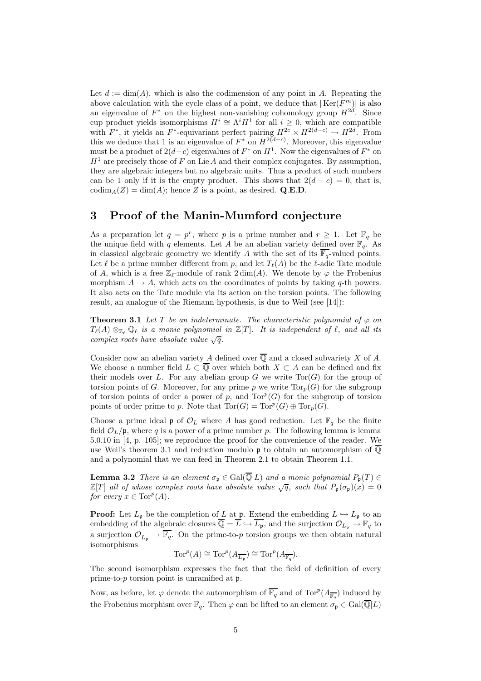Let  $d := \dim(A)$ , which is also the codimension of any point in A. Repeating the above calculation with the cycle class of a point, we deduce that  $|\text{Ker}(F_m^m)|$  is also an eigenvalue of  $F^*$  on the highest non-vanishing cohomology group  $H^{2d}$ . Since cup product yields isomorphisms  $H^i \cong \Lambda^i H^1$  for all  $i \geq 0$ , which are compatible with  $F^*$ , it yields an  $F^*$ -equivariant perfect pairing  $H^{2c} \times H^{2(d-c)} \to H^{2d}$ . From this we deduce that 1 is an eigenvalue of  $F^*$  on  $H^{2(d-c)}$ . Moreover, this eigenvalue must be a product of  $2(d-c)$  eigenvalues of  $F^*$  on  $H^1$ . Now the eigenvalues of  $F^*$  on  $H<sup>1</sup>$  are precisely those of F on Lie A and their complex conjugates. By assumption, they are algebraic integers but no algebraic units. Thus a product of such numbers can be 1 only if it is the empty product. This shows that  $2(d - c) = 0$ , that is,  $\text{codim}_A(Z) = \dim(A)$ ; hence Z is a point, as desired. Q.E.D.

### 3 Proof of the Manin-Mumford conjecture

As a preparation let  $q = p^r$ , where p is a prime number and  $r \geq 1$ . Let  $\mathbb{F}_q$  be the unique field with q elements. Let A be an abelian variety defined over  $\mathbb{F}_q$ . As in classical algebraic geometry we identify A with the set of its  $\overline{\mathbb{F}_q}$ -valued points. Let  $\ell$  be a prime number different from p, and let  $T_{\ell}(A)$  be the  $\ell$ -adic Tate module of A, which is a free  $\mathbb{Z}_{\ell}$ -module of rank  $2 \dim(A)$ . We denote by  $\varphi$  the Frobenius morphism  $A \to A$ , which acts on the coordinates of points by taking q-th powers. It also acts on the Tate module via its action on the torsion points. The following result, an analogue of the Riemann hypothesis, is due to Weil (see [14]):

**Theorem 3.1** Let T be an indeterminate. The characteristic polynomial of  $\varphi$  on  $T_{\ell}(A) \otimes_{\mathbb{Z}_{\ell}} \mathbb{Q}_{\ell}$  is a monic polynomial in  $\mathbb{Z}[T]$ . It is independent of  $\ell$ , and all its complex roots have absolute value  $\sqrt{q}$ .

Consider now an abelian variety A defined over  $\overline{Q}$  and a closed subvariety X of A. We choose a number field  $L \subset \overline{Q}$  over which both  $X \subset A$  can be defined and fix their models over L. For any abelian group  $G$  we write  $Tor(G)$  for the group of torsion points of G. Moreover, for any prime p we write  $Tor_p(G)$  for the subgroup of torsion points of order a power of  $p$ , and  $Tor^p(G)$  for the subgroup of torsion points of order prime to p. Note that  $Tor(G) = Tor^p(G) \oplus Tor_p(G)$ .

Choose a prime ideal  $\mathfrak p$  of  $\mathcal O_L$  where A has good reduction. Let  $\mathbb F_q$  be the finite field  $\mathcal{O}_L/\mathfrak{p}$ , where q is a power of a prime number p. The following lemma is lemma 5.0.10 in [4, p. 105]; we reproduce the proof for the convenience of the reader. We use Weil's theorem 3.1 and reduction modulo p to obtain an automorphism of  $\overline{Q}$ and a polynomial that we can feed in Theorem 2.1 to obtain Theorem 1.1.

**Lemma 3.2** There is an element  $\sigma_p \in \text{Gal}(\overline{\mathbb{Q}}|L)$  and a monic polynomial  $P_p(T) \in$  $\mathbb{Z}[T]$  all of whose complex roots have absolute value  $\sqrt{q}$ , such that  $P_{\mathfrak{p}}(\sigma_{\mathfrak{p}})(x) = 0$ for every  $x \in \text{Tor}^p(A)$ .

**Proof:** Let  $L_{\mathfrak{p}}$  be the completion of L at  $\mathfrak{p}$ . Extend the embedding  $L \hookrightarrow L_{\mathfrak{p}}$  to an embedding of the algebraic closures  $\overline{\mathbb{Q}} = \overline{L} \hookrightarrow \overline{L_{\mathfrak{p}}}$ , and the surjection  $\mathcal{O}_{L_{\mathfrak{p}}} \to \mathbb{F}_q$  to a surjection  $\mathcal{O}_{\overline{L_n}} \to \overline{\mathbb{F}_q}$ . On the prime-to-p torsion groups we then obtain natural isomorphisms

$$
\operatorname{Tor}^p(A) \cong \operatorname{Tor}^p(A_{\overline{L_{\mathfrak{p}}}}) \cong \operatorname{Tor}^p(A_{\overline{\mathbb{F}_q}}).
$$

The second isomorphism expresses the fact that the field of definition of every prime-to- $p$  torsion point is unramified at  $\mathfrak{p}$ .

Now, as before, let  $\varphi$  denote the automorphism of  $\overline{\mathbb{F}_q}$  and of  $\text{Tor}^p(A_{\overline{\mathbb{F}_q}})$  induced by the Frobenius morphism over  $\mathbb{F}_q$ . Then  $\varphi$  can be lifted to an element  $\sigma_{\mathfrak{p}} \in \text{Gal}(\overline{\mathbb{Q}}|L)$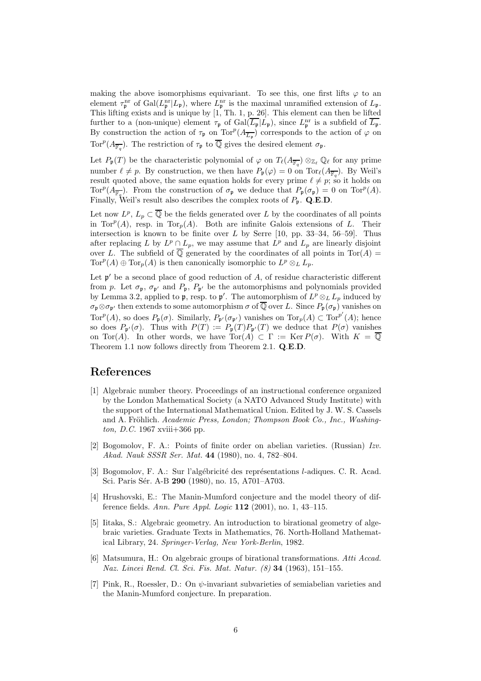making the above isomorphisms equivariant. To see this, one first lifts  $\varphi$  to an element  $\tau_{\mathfrak{p}}^{\text{nr}}$  of  $Gal(L_{\mathfrak{p}}^{\text{nr}}|L_{\mathfrak{p}})$ , where  $L_{\mathfrak{p}}^{\text{nr}}$  is the maximal unramified extension of  $L_{\mathfrak{p}}$ . This lifting exists and is unique by [1, Th. 1, p. 26]. This element can then be lifted further to a (non-unique) element  $\tau_{\mathfrak{p}}$  of  $Gal(\overline{L_{\mathfrak{p}}}|L_{\mathfrak{p}})$ , since  $L_{\mathfrak{p}}^{\text{nr}}$  is a subfield of  $\overline{L_{\mathfrak{p}}}.$ By construction the action of  $\tau_{\mathfrak{p}}$  on  $\text{Tor}^p(A_{\overline{L_{\mathfrak{p}}}})$  corresponds to the action of  $\varphi$  on Tor $^p(A_{\overline{\mathbb{F}_q}})$ . The restriction of  $\tau_{\mathfrak{p}}$  to  $\overline{\mathbb{Q}}$  gives the desired element  $\sigma_{\mathfrak{p}}$ .

Let  $P_{\mathfrak{p}}(T)$  be the characteristic polynomial of  $\varphi$  on  $T_{\ell}(A_{\overline{\mathbb{F}_q}}) \otimes_{\mathbb{Z}_{\ell}} \mathbb{Q}_{\ell}$  for any prime number  $\ell \neq p$ . By construction, we then have  $P_{\mathfrak{p}}(\varphi) = 0$  on  $\text{Tor}_{\ell}(A_{\overline{\mathbb{F}_q}})$ . By Weil's result quoted above, the same equation holds for every prime  $\ell \neq p$ ; so it holds on  $Tor^p(A_{\overline{\mathbb{F}_q}})$ . From the construction of  $\sigma_{\mathfrak{p}}$  we deduce that  $P_{\mathfrak{p}}(\sigma_{\mathfrak{p}})=0$  on  $Tor^p(A)$ . Finally, Weil's result also describes the complex roots of  $P_p$ . Q.E.D.

Let now  $L^p$ ,  $L_p \subset \overline{\mathbb{Q}}$  be the fields generated over L by the coordinates of all points in Tor $^p(A)$ , resp. in Tor $_p(A)$ . Both are infinite Galois extensions of L. Their intersection is known to be finite over  $L$  by Serre [10, pp. 33–34, 56–59]. Thus after replacing L by  $L^p \cap L_p$ , we may assume that  $L^p$  and  $L_p$  are linearly disjoint over L. The subfield of  $\overline{Q}$  generated by the coordinates of all points in Tor(A) =  $Tor^p(A) \oplus Tor_p(A)$  is then canonically isomorphic to  $L^p \otimes_L L_p$ .

Let  $\mathfrak{p}'$  be a second place of good reduction of A, of residue characteristic different from p. Let  $\sigma_{\mathfrak{p}}, \sigma_{\mathfrak{p}'}$  and  $P_{\mathfrak{p}}, P_{\mathfrak{p}'}$  be the automorphisms and polynomials provided by Lemma 3.2, applied to **p**, resp. to **p'**. The automorphism of  $L^p \otimes_L L_p$  induced by  $\sigma_{\mathbf{p}} \otimes \sigma_{\mathbf{p}'}$  then extends to some automorphism  $\sigma$  of  $\overline{\mathbb{Q}}$  over L. Since  $P_{\mathbf{p}}(\sigma_{\mathbf{p}})$  vanishes on  $Tor^p(A)$ , so does  $P_p(\sigma)$ . Similarly,  $P_p(\sigma_{p'})$  vanishes on  $Tor_p(A) \subset Tor^{p'}(A)$ ; hence so does  $P_{\mathfrak{p}'}(\sigma)$ . Thus with  $P(T) := P_{\mathfrak{p}}(T)P_{\mathfrak{p}'}(T)$  we deduce that  $P(\sigma)$  vanishes on Tor(A). In other words, we have  $Tor(A) \subset \Gamma := \text{Ker } P(\sigma)$ . With  $K = \overline{Q}$ Theorem 1.1 now follows directly from Theorem 2.1. Q.E.D.

## References

- [1] Algebraic number theory. Proceedings of an instructional conference organized by the London Mathematical Society (a NATO Advanced Study Institute) with the support of the International Mathematical Union. Edited by J. W. S. Cassels and A. Fröhlich. Academic Press, London; Thompson Book Co., Inc., Washington, D.C. 1967 xviii+366 pp.
- [2] Bogomolov, F. A.: Points of finite order on abelian varieties. (Russian) Izv. Akad. Nauk SSSR Ser. Mat. 44 (1980), no. 4, 782–804.
- [3] Bogomolov, F. A.: Sur l'algébricité des représentations l-adiques. C. R. Acad. Sci. Paris Sér. A-B 290 (1980), no. 15, A701-A703.
- [4] Hrushovski, E.: The Manin-Mumford conjecture and the model theory of difference fields. Ann. Pure Appl. Logic 112 (2001), no. 1, 43–115.
- [5] Iitaka, S.: Algebraic geometry. An introduction to birational geometry of algebraic varieties. Graduate Texts in Mathematics, 76. North-Holland Mathematical Library, 24. Springer-Verlag, New York-Berlin, 1982.
- [6] Matsumura, H.: On algebraic groups of birational transformations. Atti Accad. Naz. Lincei Rend. Cl. Sci. Fis. Mat. Natur. (8) 34 (1963), 151–155.
- [7] Pink, R., Roessler, D.: On  $\psi$ -invariant subvarieties of semiabelian varieties and the Manin-Mumford conjecture. In preparation.